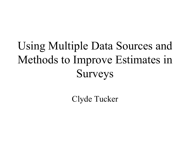# Using Multiple Data Sources and Methods to Improve Estimates in Surveys

Clyde Tucker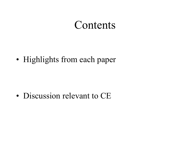#### Contents

• Highlights from each paper

• Discussion relevant to CE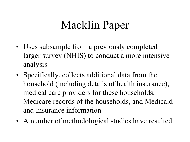# Macklin Paper

- Uses subsample from a previously completed larger survey (NHIS) to conduct a more intensive analysis
- Specifically, collects additional data from the household (including details of health insurance), medical care providers for these households, Medicare records of the households, and Medicaid and Insurance information
- A number of methodological studies have resulted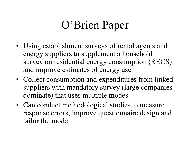## O'Brien Paper

- Using establishment surveys of rental agents and energy suppliers to supplement a household survey on residential energy consumption (RECS) and improve estimates of energy use
- Collect consumption and expenditures from linked suppliers with mandatory survey (large companies dominate) that uses multiple modes
- Can conduct methodological studies to measure response errors, improve questionnaire design and tailor the mode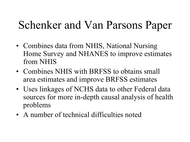## Schenker and Van Parsons Paper

- Combines data from NHIS, National Nursing Home Survey and NHANES to improve estimates from NHIS
- Combines NHIS with BRFSS to obtains small area estimates and improve BRFSS estimates
- Uses linkages of NCHS data to other Federal data sources for more in-depth causal analysis of health problems
- A number of technical difficulties noted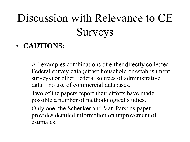# Discussion with Relevance to CE Surveys

- **CAUTIONS:**
	- All examples combinations of either directly collected Federal survey data (either household or establishment surveys) or other Federal sources of administrative data—no use of commercial databases.
	- Two of the papers report their efforts have made possible a number of methodological studies.
	- Only one, the Schenker and Van Parsons paper, provides detailed information on improvement of estimates.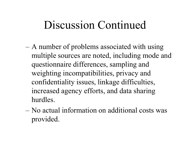- A number of problems associated with using multiple sources are noted, including mode and questionnaire differences, sampling and weighting incompatibilities, privacy and confidentiality issues, linkage difficulties, increased agency efforts, and data sharing hurdles.
- No actual information on additional costs was provided.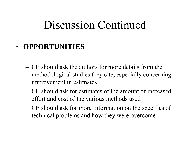#### • **OPPORTUNITIES**

- CE should ask the authors for more details from the methodological studies they cite, especially concerning improvement in estimates
- CE should ask for estimates of the amount of increased effort and cost of the various methods used
- CE should ask for more information on the specifics of technical problems and how they were overcome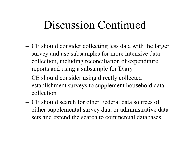- CE should consider collecting less data with the larger survey and use subsamples for more intensive data collection, including reconciliation of expenditure reports and using a subsample for Diary
- CE should consider using directly collected establishment surveys to supplement household data collection
- CE should search for other Federal data sources of either supplemental survey data or administrative data sets and extend the search to commercial databases